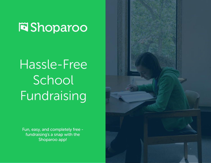**Fi**Shoparoo

# Hassle-Free School Fundraising

Fun, easy, and completely free fundraising's a snap with the Shoparoo app!

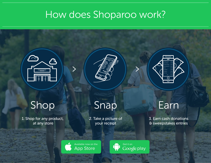### How does Shoparoo work?







### Shop

1. Shop for any product, at any store

Snap

2. Take a picture of your receipt

**Earn** 

3. Earn cash donations & sweepstakes entries

Available now on the App Store

Get it on Google play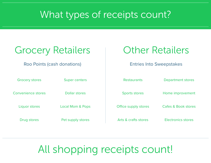#### What types of receipts count?

| <b>Grocery Retailers</b>    |                             | <b>Other Retailers</b>          |                           |
|-----------------------------|-----------------------------|---------------------------------|---------------------------|
| Roo Points (cash donations) |                             | <b>Entries Into Sweepstakes</b> |                           |
| <b>Grocery stores</b>       | <b>Super centers</b>        | <b>Restaurants</b>              | <b>Department stores</b>  |
| Convenience stores          | Dollar stores               | <b>Sports stores</b>            | Home improvement          |
| Liquor stores               | <b>Local Mom &amp; Pops</b> | Office supply stores            | Cafes & Book stores       |
| Drug stores                 | Pet supply stores           | Arts & crafts stores            | <b>Electronics stores</b> |

### All shopping receipts count!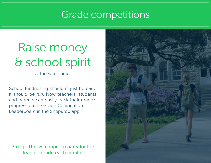#### Grade competitions

# & school spirit Raise money

at the same time!

School fundraising shouldn't just be easy, it should be fun. Now teachers, students and parents can easily track their grade's progress on the Grade Competition Leaderboard in the Shoparoo app!

Pro tip: Throw a popcorn party for the leading grade each month!

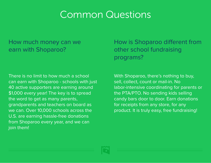#### Common Questions

#### How much money can we earn with Shoparoo?

There is no limit to how much a school can earn with Shoparoo - schools with just 40 active supporters are earning around \$1,000 every year! The key is to spread the word to get as many parents, grandparents and teachers on board as we can. Over 10,000 schools across the U.S. are earning hassle-free donations from Shoparoo every year, and we can join them!

How is Shoparoo different from other school fundraising programs?

With Shoparoo, there's nothing to buy, sell, collect, count or mail-in. No labor-intensive coordinating for parents or the PTA/PTO. No sending kids selling candy bars door to door. Earn donations for receipts from any store, for any product. It is truly easy, free fundraising!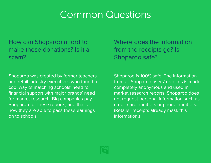#### Common Questions

How can Shoparoo afford to make these donations? Is it a scam?

Shoparoo was created by former teachers and retail industry executives who found a cool way of matching schools' need for financial support with major brands' need for market research. Big companies pay Shoparoo for these reports, and that's how they are able to pass these earnings on to schools.

Where does the information from the receipts go? Is Shoparoo safe?

Shoparoo is 100% safe. The information from all Shoparoo users' receipts is made completely anonymous and used in market research reports. Shoparoo does not request personal information such as credit card numbers or phone numbers. (Retailer receipts already mask this information.)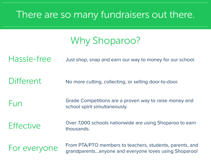#### There are so many fundraisers out there.

Why Shoparoo?

Hassle-free Just shop, snap and earn our way to money for our school.

Different No more cutting, collecting, or selling door-to-door.

Fun Grade Competitions are a proven way to raise money and school spirit simultaneously.

Effective Over 7,000 schools nationwide are using Shoparoo to earn thousands.

For everyone From PTA/PTO members to teachers, students, parents, and<br>For everyone and everyone loves using Shaparool grandparents...anyone and everyone loves using Shoparoo!